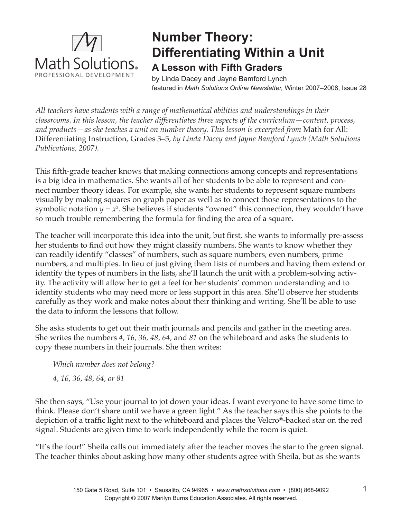

## **Number Theory: Differentiating Within a Unit A Lesson with Fifth Graders**

by Linda Dacey and Jayne Bamford Lynch featured in *Math Solutions Online Newsletter,* Winter 2007–2008, Issue 28

*All teachers have students with a range of mathematical abilities and understandings in their classrooms. In this lesson, the teacher differentiates three aspects of the curriculum—content, process, and products—as she teaches a unit on number theory. This lesson is excerpted from* Math for All: Differentiating Instruction, Grades 3–5, *by Linda Dacey and Jayne Bamford Lynch (Math Solutions Publications, 2007).* 

This fifth-grade teacher knows that making connections among concepts and representations is a big idea in mathematics. She wants all of her students to be able to represent and connect number theory ideas. For example, she wants her students to represent square numbers visually by making squares on graph paper as well as to connect those representations to the symbolic notation  $y = x^2$ . She believes if students "owned" this connection, they wouldn't have so much trouble remembering the formula for finding the area of a square.

The teacher will incorporate this idea into the unit, but first, she wants to informally pre-assess her students to find out how they might classify numbers. She wants to know whether they can readily identify "classes" of numbers, such as square numbers, even numbers, prime numbers, and multiples. In lieu of just giving them lists of numbers and having them extend or identify the types of numbers in the lists, she'll launch the unit with a problem-solving activity. The activity will allow her to get a feel for her students' common understanding and to identify students who may need more or less support in this area. She'll observe her students carefully as they work and make notes about their thinking and writing. She'll be able to use the data to inform the lessons that follow.

She asks students to get out their math journals and pencils and gather in the meeting area. She writes the numbers *4, 16, 36, 48, 64,* and *81* on the whiteboard and asks the students to copy these numbers in their journals. She then writes:

*Which number does not belong? 4, 16, 36, 48, 64, or 81*

She then says, "Use your journal to jot down your ideas. I want everyone to have some time to think. Please don't share until we have a green light." As the teacher says this she points to the depiction of a traffic light next to the whiteboard and places the Velcro®-backed star on the red signal. Students are given time to work independently while the room is quiet.

"It's the four!" Sheila calls out immediately after the teacher moves the star to the green signal. The teacher thinks about asking how many other students agree with Sheila, but as she wants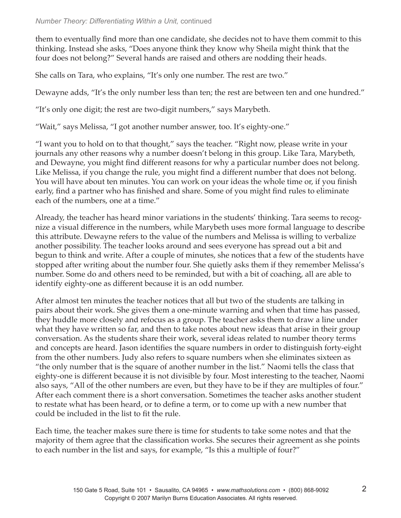## *Number Theory: Differentiating Within a Unit,* continued

them to eventually find more than one candidate, she decides not to have them commit to this thinking. Instead she asks, "Does anyone think they know why Sheila might think that the four does not belong?" Several hands are raised and others are nodding their heads.

She calls on Tara, who explains, "It's only one number. The rest are two."

Dewayne adds, "It's the only number less than ten; the rest are between ten and one hundred."

"It's only one digit; the rest are two-digit numbers," says Marybeth.

"Wait," says Melissa, "I got another number answer, too. It's eighty-one."

"I want you to hold on to that thought," says the teacher. "Right now, please write in your journals any other reasons why a number doesn't belong in this group. Like Tara, Marybeth, and Dewayne, you might find different reasons for why a particular number does not belong. Like Melissa, if you change the rule, you might find a different number that does not belong. You will have about ten minutes. You can work on your ideas the whole time or, if you finish early, find a partner who has finished and share. Some of you might find rules to eliminate each of the numbers, one at a time."

Already, the teacher has heard minor variations in the students' thinking. Tara seems to recognize a visual difference in the numbers, while Marybeth uses more formal language to describe this attribute. Dewayne refers to the value of the numbers and Melissa is willing to verbalize another possibility. The teacher looks around and sees everyone has spread out a bit and begun to think and write. After a couple of minutes, she notices that a few of the students have stopped after writing about the number four. She quietly asks them if they remember Melissa's number. Some do and others need to be reminded, but with a bit of coaching, all are able to identify eighty-one as different because it is an odd number.

After almost ten minutes the teacher notices that all but two of the students are talking in pairs about their work. She gives them a one-minute warning and when that time has passed, they huddle more closely and refocus as a group. The teacher asks them to draw a line under what they have written so far, and then to take notes about new ideas that arise in their group conversation. As the students share their work, several ideas related to number theory terms and concepts are heard. Jason identifies the square numbers in order to distinguish forty-eight from the other numbers. Judy also refers to square numbers when she eliminates sixteen as "the only number that is the square of another number in the list." Naomi tells the class that eighty-one is different because it is not divisible by four. Most interesting to the teacher, Naomi also says, "All of the other numbers are even, but they have to be if they are multiples of four." After each comment there is a short conversation. Sometimes the teacher asks another student to restate what has been heard, or to define a term, or to come up with a new number that could be included in the list to fit the rule.

Each time, the teacher makes sure there is time for students to take some notes and that the majority of them agree that the classification works. She secures their agreement as she points to each number in the list and says, for example, "Is this a multiple of four?"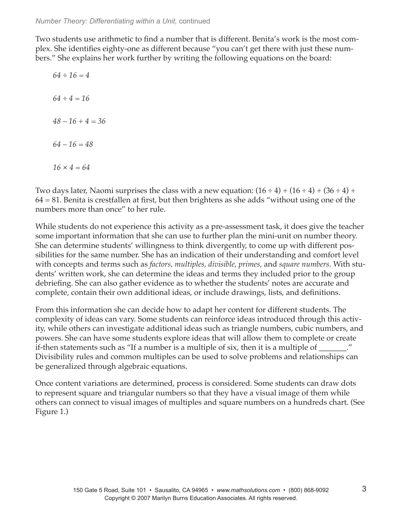Two students use arithmetic to find a number that is different. Benita's work is the most complex. She identifies eighty-one as different because "you can't get there with just these numbers." She explains her work further by writing the following equations on the board:

*64 ÷ 16 = 4 64 ÷ 4 = 16 48 – 16 + 4 = 36 64 – 16 = 48 16 × 4 = 64*

Two days later, Naomi surprises the class with a new equation:  $(16 \div 4) + (16 \div 4) + (36 \div 4) +$  $64 = 81$ . Benita is crestfallen at first, but then brightens as she adds "without using one of the numbers more than once" to her rule.

While students do not experience this activity as a pre-assessment task, it does give the teacher some important information that she can use to further plan the mini-unit on number theory. She can determine students' willingness to think divergently, to come up with different possibilities for the same number. She has an indication of their understanding and comfort level with concepts and terms such as *factors, multiples, divisible, primes,* and *square numbers.* With students' written work, she can determine the ideas and terms they included prior to the group debriefing. She can also gather evidence as to whether the students' notes are accurate and complete, contain their own additional ideas, or include drawings, lists, and definitions.

From this information she can decide how to adapt her content for different students. The complexity of ideas can vary. Some students can reinforce ideas introduced through this activity, while others can investigate additional ideas such as triangle numbers, cubic numbers, and powers. She can have some students explore ideas that will allow them to complete or create if-then statements such as "If a number is a multiple of six, then it is a multiple of \_\_\_\_\_\_\_." Divisibility rules and common multiples can be used to solve problems and relationships can be generalized through algebraic equations.

Once content variations are determined, process is considered. Some students can draw dots to represent square and triangular numbers so that they have a visual image of them while others can connect to visual images of multiples and square numbers on a hundreds chart. (See Figure 1.)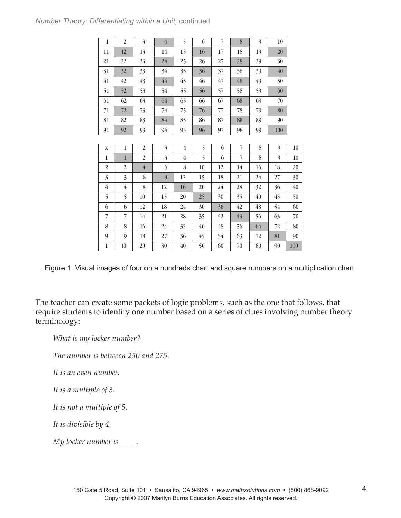| 10     | 9  | $8\,$          | 7  | 6  | 5              | $\overline{4}$ | 3                | $\boldsymbol{2}$ | $\mathbf{1}$   |
|--------|----|----------------|----|----|----------------|----------------|------------------|------------------|----------------|
| 20     | 19 | 18             | 17 | 16 | 15             | 14             | 13               | 12               | 11             |
| 30     | 29 | 28             | 27 | 26 | 25             | 24             | 23               | 22               | 21             |
| 40     | 39 | 38             | 37 | 36 | 35             | 34             | 33               | 32               | 31             |
| 50     | 49 | 48             | 47 | 46 | 45             | 44             | 43               | 42               | 41             |
| 60     | 59 | 58             | 57 | 56 | 55             | 54             | 53               | 52               | 51             |
| 70     | 69 | 68             | 67 | 66 | 65             | 64             | 63               | 62               | 61             |
| 80     | 79 | 78             | 77 | 76 | 75             | 74             | 73               | $72\,$           | 71             |
| 90     | 89 | 88             | 87 | 86 | 85             | 84             | 83               | 82               | 81             |
| 100    | 99 | 98             | 97 | 96 | 95             | 94             | 93               | 92               | 91             |
|        |    |                |    |    |                |                |                  |                  |                |
| 9      | 8  | 7              | 6  | 5  | $\overline{4}$ | 3              | 2                | $\mathbf{1}$     | $\mathbf X$    |
| 9      | 8  | $\overline{7}$ | 6  | 5  | $\overline{4}$ | $\overline{3}$ | $\boldsymbol{2}$ | $\mathbf{1}$     | $\mathbf{1}$   |
| 18     | 16 | 14             | 12 | 10 | 8              | 6              | $\overline{4}$   | $\overline{2}$   | $\overline{2}$ |
| 27     | 24 | 21             | 18 | 15 | 12             | 9              | 6                | $\overline{3}$   | 3              |
| 36     | 32 | 28             | 24 | 20 | 16             | 12             | 8                | $\overline{4}$   | $\overline{4}$ |
| 45     | 40 | 35             | 30 | 25 | 20             | 15             | 10               | 5                | 5              |
| 54     | 48 | 42             | 36 | 30 | 24             | 18             | 12               | 6                | 6              |
| 63     | 56 | 49             | 42 | 35 | 28             | 21             | 14               | 7                | 7              |
| $72\,$ | 64 | 56             | 48 | 40 | 32             | 24             | 16               | 8                | 8              |
| 81     | 72 | 63             | 54 | 45 | 36             | 27             | 18               | 9                | 9              |
| 90     | 80 | 70             | 60 | 50 | 40             | 30             | 20               | 10               | $\mathbf{1}$   |
|        |    |                |    |    |                |                |                  |                  |                |

Figure 1. Visual images of four on a hundreds chart and square numbers on a multiplication chart.

The teacher can create some packets of logic problems, such as the one that follows, that require students to identify one number based on a series of clues involving number theory terminology:

*What is my locker number?*

*The number is between 250 and 275.*

*It is an even number.*

*It is a multiple of 3.*

*It is not a multiple of 5.*

*It is divisible by 4.*

*My locker number is \_ \_ \_.*